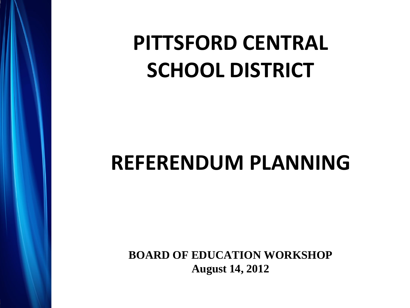### **PITTSFORD CENTRAL SCHOOL DISTRICT**

### **REFERENDUM PLANNING**

**BOARD OF EDUCATION WORKSHOP August 14, 2012**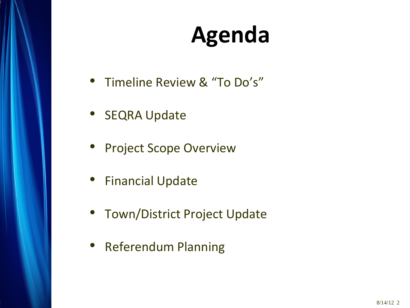## **Agenda**

- Timeline Review & "To Do's"
- SEQRA Update
- Project Scope Overview
- Financial Update
- Town/District Project Update
- Referendum Planning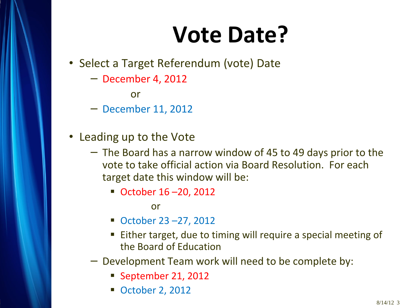## **Vote Date?**

- Select a Target Referendum (vote) Date
	- − December 4, 2012

or

- − December 11, 2012
- Leading up to the Vote
	- − The Board has a narrow window of 45 to 49 days prior to the vote to take official action via Board Resolution. For each target date this window will be:
		- October 16-20, 2012

or

- October 23 –27, 2012
- Either target, due to timing will require a special meeting of the Board of Education
- − Development Team work will need to be complete by:
	- September 21, 2012
	- **October 2, 2012**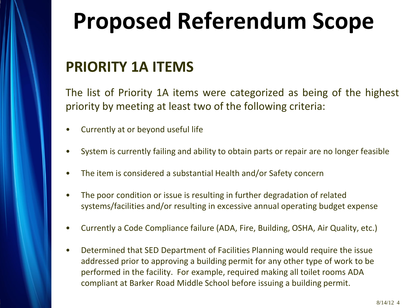## **Proposed Referendum Scope**

### **PRIORITY 1A ITEMS**

The list of Priority 1A items were categorized as being of the highest priority by meeting at least two of the following criteria:

- Currently at or beyond useful life
- System is currently failing and ability to obtain parts or repair are no longer feasible
- The item is considered a substantial Health and/or Safety concern
- The poor condition or issue is resulting in further degradation of related systems/facilities and/or resulting in excessive annual operating budget expense
- Currently a Code Compliance failure (ADA, Fire, Building, OSHA, Air Quality, etc.)
- Determined that SED Department of Facilities Planning would require the issue addressed prior to approving a building permit for any other type of work to be performed in the facility. For example, required making all toilet rooms ADA compliant at Barker Road Middle School before issuing a building permit.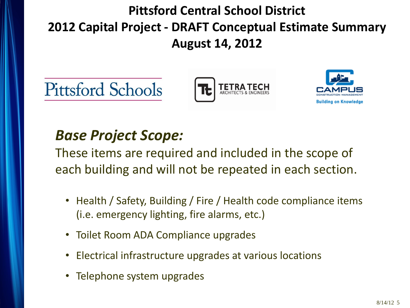### **Pittsford Central School District 2012 Capital Project - DRAFT Conceptual Estimate Summary August 14, 2012**







### *Base Project Scope:*

These items are required and included in the scope of each building and will not be repeated in each section.

- Health / Safety, Building / Fire / Health code compliance items (i.e. emergency lighting, fire alarms, etc.)
- Toilet Room ADA Compliance upgrades
- Electrical infrastructure upgrades at various locations
- Telephone system upgrades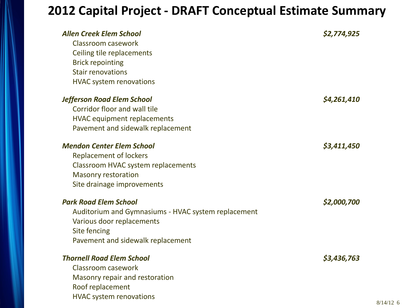#### **2012 Capital Project - DRAFT Conceptual Estimate Summary**

| <b>Allen Creek Elem School</b><br>Classroom casework<br>Ceiling tile replacements<br><b>Brick repointing</b><br><b>Stair renovations</b><br><b>HVAC system renovations</b> | \$2,774,925 |
|----------------------------------------------------------------------------------------------------------------------------------------------------------------------------|-------------|
| <b>Jefferson Road Elem School</b>                                                                                                                                          | \$4,261,410 |
| Corridor floor and wall tile                                                                                                                                               |             |
| <b>HVAC</b> equipment replacements                                                                                                                                         |             |
| Pavement and sidewalk replacement                                                                                                                                          |             |
| <b>Mendon Center Elem School</b>                                                                                                                                           | \$3,411,450 |
| <b>Replacement of lockers</b>                                                                                                                                              |             |
| Classroom HVAC system replacements                                                                                                                                         |             |
| <b>Masonry restoration</b>                                                                                                                                                 |             |
| Site drainage improvements                                                                                                                                                 |             |
| <b>Park Road Elem School</b>                                                                                                                                               | \$2,000,700 |
| Auditorium and Gymnasiums - HVAC system replacement                                                                                                                        |             |
| Various door replacements                                                                                                                                                  |             |
| Site fencing                                                                                                                                                               |             |
| Pavement and sidewalk replacement                                                                                                                                          |             |
| <b>Thornell Road Elem School</b>                                                                                                                                           | \$3,436,763 |
| <b>Classroom casework</b>                                                                                                                                                  |             |
| Masonry repair and restoration                                                                                                                                             |             |
| Roof replacement                                                                                                                                                           |             |
| <b>HVAC system renovations</b>                                                                                                                                             |             |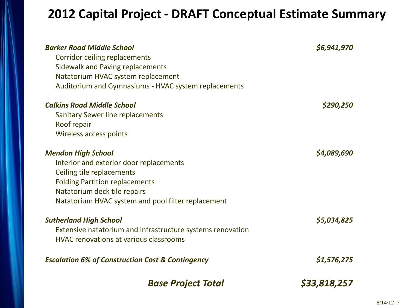#### **2012 Capital Project - DRAFT Conceptual Estimate Summary**

| <b>Barker Road Middle School</b><br><b>Corridor ceiling replacements</b><br><b>Sidewalk and Paving replacements</b><br>Natatorium HVAC system replacement<br>Auditorium and Gymnasiums - HVAC system replacements                | \$6,941,970  |
|----------------------------------------------------------------------------------------------------------------------------------------------------------------------------------------------------------------------------------|--------------|
| <b>Calkins Road Middle School</b><br>Sanitary Sewer line replacements<br>Roof repair<br>Wireless access points                                                                                                                   | \$290,250    |
| <b>Mendon High School</b><br>Interior and exterior door replacements<br>Ceiling tile replacements<br><b>Folding Partition replacements</b><br>Natatorium deck tile repairs<br>Natatorium HVAC system and pool filter replacement | \$4,089,690  |
| <b>Sutherland High School</b><br>Extensive natatorium and infrastructure systems renovation<br><b>HVAC renovations at various classrooms</b>                                                                                     | \$5,034,825  |
| <b>Escalation 6% of Construction Cost &amp; Contingency</b>                                                                                                                                                                      | \$1,576,275  |
| <b>Base Project Total</b>                                                                                                                                                                                                        | \$33,818,257 |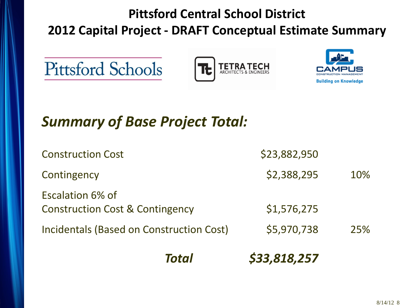### **Pittsford Central School District 2012 Capital Project - DRAFT Conceptual Estimate Summary**





### *Summary of Base Project Total:*

| Total                                                                 | \$33,818,257 |     |
|-----------------------------------------------------------------------|--------------|-----|
| Incidentals (Based on Construction Cost)                              | \$5,970,738  | 25% |
| <b>Escalation 6% of</b><br><b>Construction Cost &amp; Contingency</b> | \$1,576,275  |     |
| Contingency                                                           | \$2,388,295  | 10% |
| <b>Construction Cost</b>                                              | \$23,882,950 |     |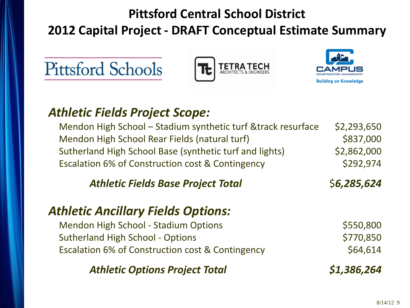### **Pittsford Central School District 2012 Capital Project - DRAFT Conceptual Estimate Summary**







#### *Athletic Fields Project Scope:*

Mendon High School – Stadium synthetic turf &track resurface  $\lessdot$  \$2,293,650 Mendon High School Rear Fields (natural turf) \$837,000 Sutherland High School Base (synthetic turf and lights) \$2,862,000 Escalation 6% of Construction cost & Contingency  $\sim$  \$292,974

*Athletic Fields Base Project Total* \$*6,285,624*

#### *Athletic Ancillary Fields Options:*

Mendon High School - Stadium Options **\$550,800** Sutherland High School - Options  $$770,850$ Escalation 6% of Construction cost & Contingency  $$64,614$ 

*Athletic Options Project Total \$1,386,264*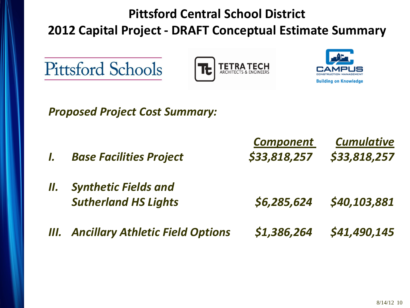### **Pittsford Central School District 2012 Capital Project - DRAFT Conceptual Estimate Summary**







*Proposed Project Cost Summary:*

|     |                                         | <b>Component</b> | <b>Cumulative</b> |
|-----|-----------------------------------------|------------------|-------------------|
|     | <b>Base Facilities Project</b>          | \$33,818,257     | \$33,818,257      |
| 11. | <b>Synthetic Fields and</b>             |                  |                   |
|     | <b>Sutherland HS Lights</b>             | \$6,285,624      | \$40,103,881      |
| Ш.  | <b>Ancillary Athletic Field Options</b> | \$1,386,264      | \$41,490,145      |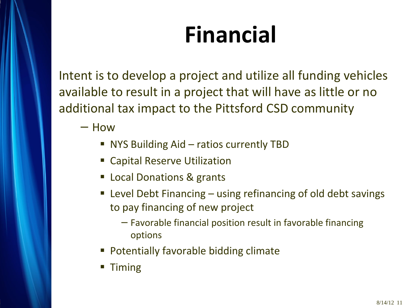# **Financial**

Intent is to develop a project and utilize all funding vehicles available to result in a project that will have as little or no additional tax impact to the Pittsford CSD community

− How

- NYS Building Aid ratios currently TBD
- Capital Reserve Utilization
- Local Donations & grants
- Level Debt Financing using refinancing of old debt savings to pay financing of new project
	- − Favorable financial position result in favorable financing options
- Potentially favorable bidding climate
- Timing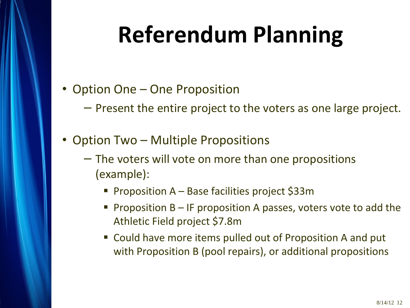# **Referendum Planning**

- Option One One Proposition
	- − Present the entire project to the voters as one large project.
- Option Two Multiple Propositions
	- − The voters will vote on more than one propositions (example):
		- Proposition A Base facilities project \$33m
		- **Proposition B IF proposition A passes, voters vote to add the** Athletic Field project \$7.8m
		- Could have more items pulled out of Proposition A and put with Proposition B (pool repairs), or additional propositions